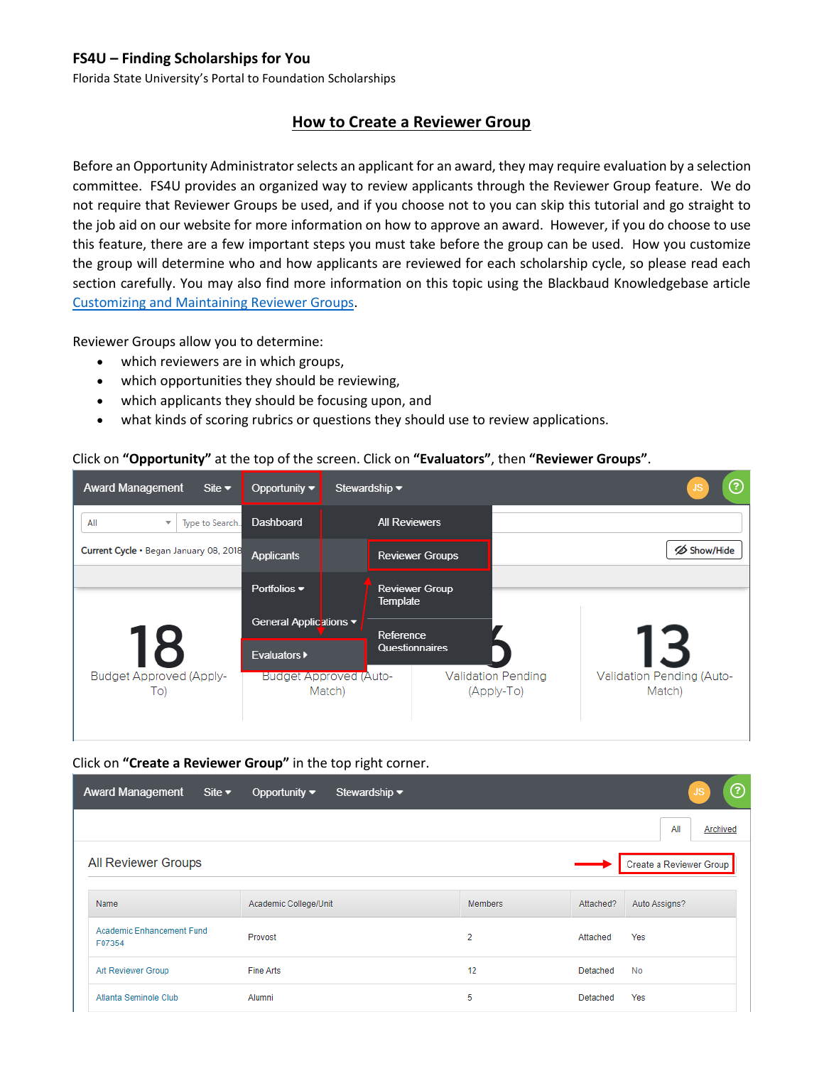Florida State University's Portal to Foundation Scholarships

## **How to Create a Reviewer Group**

Before an Opportunity Administrator selects an applicant for an award, they may require evaluation by a selection committee. FS4U provides an organized way to review applicants through the Reviewer Group feature. We do not require that Reviewer Groups be used, and if you choose not to you can skip this tutorial and go straight to the job aid on our website for more information on how to approve an award. However, if you do choose to use this feature, there are a few important steps you must take before the group can be used. How you customize the group will determine who and how applicants are reviewed for each scholarship cycle, so please read each section carefully. You may also find more information on this topic using the Blackbaud Knowledgebase article [Customizing and Maintaining Reviewer Groups.](https://kb.blackbaud.com/articles/Article/120791)

Reviewer Groups allow you to determine:

- which reviewers are in which groups,
- which opportunities they should be reviewing,
- which applicants they should be focusing upon, and
- what kinds of scoring rubrics or questions they should use to review applications.

#### Click on **"Opportunity"** at the top of the screen. Click on **"Evaluators"**, then **"Reviewer Groups"**.

| <b>Award Management</b><br>Site $\blacktriangledown$ | Opportunity $\blacktriangledown$        | Stewardship $\blacktriangledown$  |                                         | ℗                                   |
|------------------------------------------------------|-----------------------------------------|-----------------------------------|-----------------------------------------|-------------------------------------|
| All<br>Type to Search.<br>$\overline{\mathbf{v}}$    | Dashboard                               | <b>All Reviewers</b>              |                                         |                                     |
| Current Cycle . Began January 08, 2018               | <b>Applicants</b>                       | <b>Reviewer Groups</b>            |                                         | Show/Hide                           |
|                                                      | Portfolios $\blacktriangledown$         | <b>Reviewer Group</b><br>Template |                                         |                                     |
|                                                      | General Applications ▼                  | Reference                         |                                         |                                     |
| 18                                                   | <b>Evaluators</b> ▶                     | Questionnaires                    |                                         | I B                                 |
| <b>Budget Approved (Apply-</b><br>To)                | <b>Budget Approved (Auto-</b><br>Match) |                                   | <b>Validation Pending</b><br>(Apply-To) | Validation Pending (Auto-<br>Match) |

#### Click on **"Create a Reviewer Group"** in the top right corner.

| <b>Award Management</b><br>Site $\blacktriangledown$ | Opportunity $\blacktriangledown$ | Stewardship $\blacktriangleright$ |                |           | ℗<br>/JS                |
|------------------------------------------------------|----------------------------------|-----------------------------------|----------------|-----------|-------------------------|
|                                                      |                                  |                                   |                |           | All<br>Archived         |
| All Reviewer Groups                                  |                                  |                                   |                |           | Create a Reviewer Group |
| Name                                                 | Academic College/Unit            |                                   | <b>Members</b> | Attached? | Auto Assigns?           |
| Academic Enhancement Fund<br>F07354                  | Provost                          |                                   | $\overline{2}$ | Attached  | Yes                     |
| Art Reviewer Group                                   | Fine Arts                        |                                   | 12             | Detached  | <b>No</b>               |
| Atlanta Seminole Club                                | Alumni                           |                                   | 5              | Detached  | Yes                     |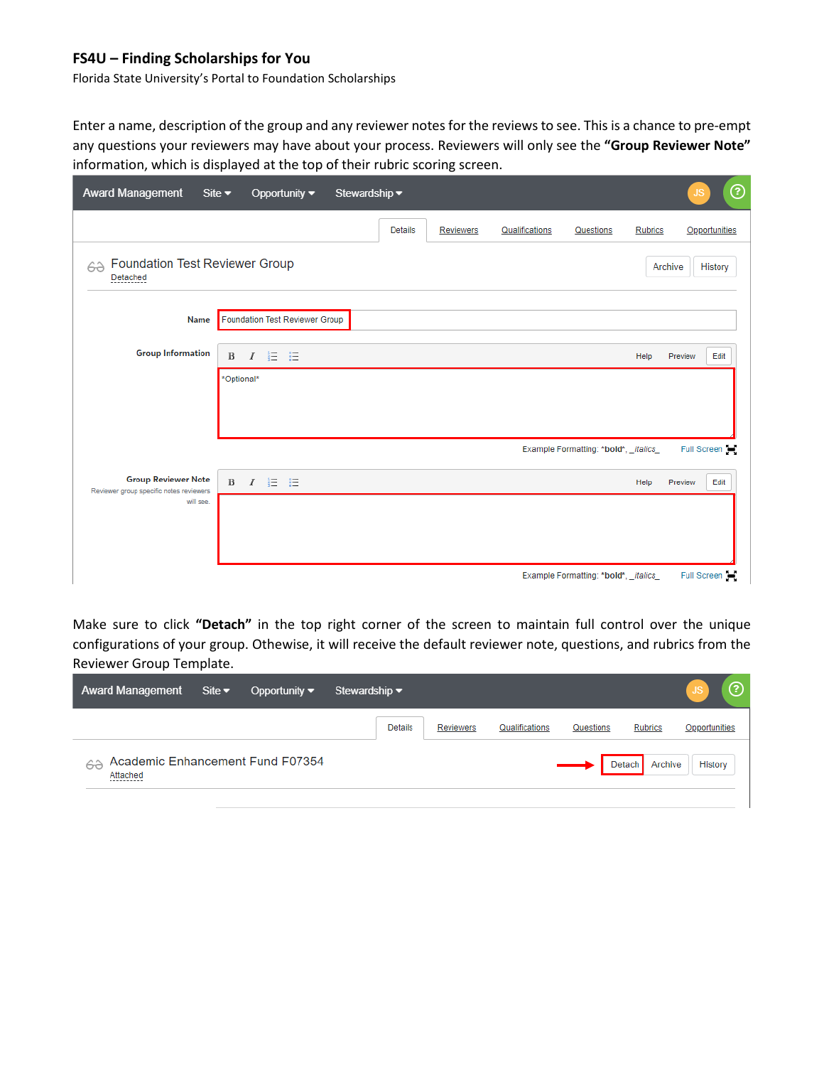Florida State University's Portal to Foundation Scholarships

Enter a name, description of the group and any reviewer notes for the reviews to see. This is a chance to pre-empt any questions your reviewers may have about your process. Reviewers will only see the **"Group Reviewer Note"** information, which is displayed at the top of their rubric scoring screen.

| <b>Award Management</b>                                               | Site $\blacktriangleright$<br>Opportunity $\blacktriangledown$<br>Stewardship v |                |                  |                |                                       |                | ℗<br><b>JS</b>             |
|-----------------------------------------------------------------------|---------------------------------------------------------------------------------|----------------|------------------|----------------|---------------------------------------|----------------|----------------------------|
|                                                                       |                                                                                 | <b>Details</b> | <b>Reviewers</b> | Qualifications | Questions                             | <b>Rubrics</b> | Opportunities              |
| Foundation Test Reviewer Group<br>62<br>Detached                      |                                                                                 |                |                  |                |                                       | Archive        | History                    |
| Name                                                                  | Foundation Test Reviewer Group                                                  |                |                  |                |                                       |                |                            |
| <b>Group Information</b>                                              | $I \equiv \Xi$<br>$\, {\bf B}$                                                  |                |                  |                |                                       | Help           | Edit<br>Preview            |
|                                                                       | *Optional*                                                                      |                |                  |                |                                       |                |                            |
|                                                                       |                                                                                 |                |                  |                |                                       |                |                            |
|                                                                       |                                                                                 |                |                  |                | Example Formatting: *bold*, _italics_ |                | Full Screen                |
| <b>Group Reviewer Note</b><br>Reviewer group specific notes reviewers | - 註 三<br>$\, {\bf B}$<br>$\overline{I}$                                         |                |                  |                |                                       | Help           | Preview<br>Edit            |
| will see.                                                             |                                                                                 |                |                  |                |                                       |                |                            |
|                                                                       |                                                                                 |                |                  |                |                                       |                |                            |
|                                                                       |                                                                                 |                |                  |                |                                       |                |                            |
|                                                                       |                                                                                 |                |                  |                | Example Formatting: *bold*, _italics_ |                | Full Screen $\blacksquare$ |

Make sure to click **"Detach"** in the top right corner of the screen to maintain full control over the unique configurations of your group. Othewise, it will receive the default reviewer note, questions, and rubrics from the Reviewer Group Template.

| <b>Award Management</b>                                          | Site $\blacktriangleright$ | Opportunity $\blacktriangledown$ | Stewardship $\blacktriangledown$ |                  |                |           |                   | ල<br><b>JS</b> |
|------------------------------------------------------------------|----------------------------|----------------------------------|----------------------------------|------------------|----------------|-----------|-------------------|----------------|
|                                                                  |                            |                                  | <b>Details</b>                   | <b>Reviewers</b> | Qualifications | Questions | <b>Rubrics</b>    | Opportunities  |
| Academic Enhancement Fund F07354<br>62<br>Attached<br>---------- |                            |                                  |                                  |                  |                |           | Archive<br>Detach | History        |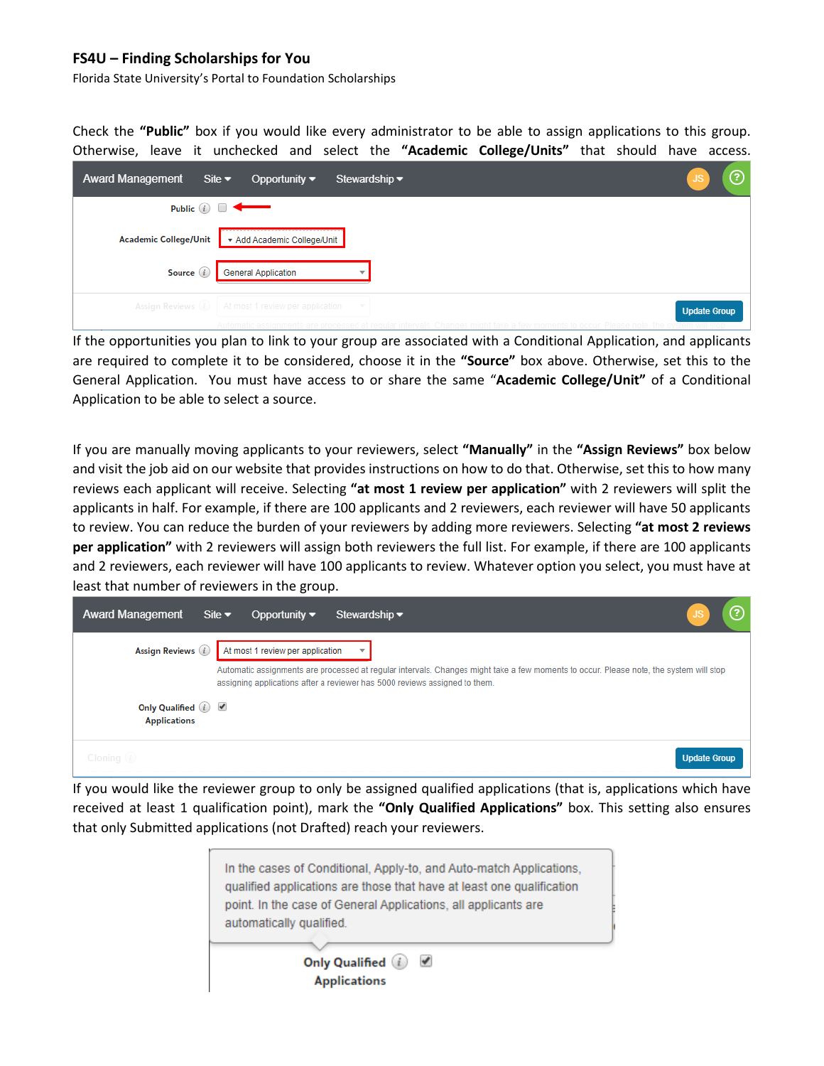Florida State University's Portal to Foundation Scholarships

Check the **"Public"** box if you would like every administrator to be able to assign applications to this group. Otherwise, leave it unchecked and select the **"Academic College/Units"** that should have access.

| <b>Award Management</b>      | Site $\blacktriangledown$<br>Opportunity $\blacktriangledown$<br>Stewardship $\blacktriangledown$ |                     | ⊘ |
|------------------------------|---------------------------------------------------------------------------------------------------|---------------------|---|
|                              | Public $(i)$                                                                                      |                     |   |
| <b>Academic College/Unit</b> | Add Academic College/Unit                                                                         |                     |   |
| Source (i)                   | <b>General Application</b>                                                                        |                     |   |
| Assign Reviews (i)           | At most 1 review per application                                                                  | <b>Update Group</b> |   |
|                              |                                                                                                   |                     |   |

If the opportunities you plan to link to your group are associated with a Conditional Application, and applicants are required to complete it to be considered, choose it in the **"Source"** box above. Otherwise, set this to the General Application. You must have access to or share the same "**Academic College/Unit"** of a Conditional Application to be able to select a source.

If you are manually moving applicants to your reviewers, select **"Manually"** in the **"Assign Reviews"** box below and visit the job aid on our website that provides instructions on how to do that. Otherwise, set this to how many reviews each applicant will receive. Selecting **"at most 1 review per application"** with 2 reviewers will split the applicants in half. For example, if there are 100 applicants and 2 reviewers, each reviewer will have 50 applicants to review. You can reduce the burden of your reviewers by adding more reviewers. Selecting **"at most 2 reviews per application"** with 2 reviewers will assign both reviewers the full list. For example, if there are 100 applicants and 2 reviewers, each reviewer will have 100 applicants to review. Whatever option you select, you must have at least that number of reviewers in the group.

| <b>Award Management</b>                     | Site $\blacktriangleright$<br>Opportunity $\blacktriangledown$<br>Stewardship $\blacktriangleright$                                                                                                                  | ?                   |
|---------------------------------------------|----------------------------------------------------------------------------------------------------------------------------------------------------------------------------------------------------------------------|---------------------|
| Assign Reviews (i)                          | At most 1 review per application                                                                                                                                                                                     |                     |
|                                             | Automatic assignments are processed at regular intervals. Changes might take a few moments to occur. Please note, the system will stop<br>assigning applications after a reviewer has 5000 reviews assigned to them. |                     |
| Only Qualified $(i)$<br><b>Applications</b> |                                                                                                                                                                                                                      |                     |
| Cloning $(i)$                               |                                                                                                                                                                                                                      | <b>Update Group</b> |

If you would like the reviewer group to only be assigned qualified applications (that is, applications which have received at least 1 qualification point), mark the **"Only Qualified Applications"** box. This setting also ensures that only Submitted applications (not Drafted) reach your reviewers.